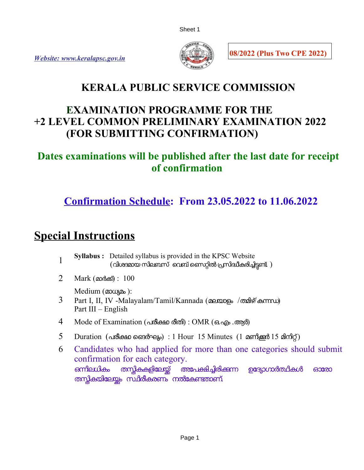



**08/2022 (Plus Two CPE 2022)**

## **KERALA PUBLIC SERVICE COMMISSION**

### **EXAMINATION PROGRAMME FOR THE +2 LEVEL COMMON PRELIMINARY EXAMINATION 2022 (FOR SUBMITTING CONFIRMATION)**

### **Dates examinations will be published after the last date for receipt of confirmation**

## **Confirmation Schedule: From 23.05.2022 to 11.06.2022**

# **Special Instructions**

- 1 **Syllabus :** Detailed syllabus is provided in the KPSC Website  $($ വിശദമായ സിലബസ് വെബ് സൈറ്റിൽ പ്രസിദ്ധീകരിച്ചിട്ടണ്ട് )
- 2 Mark (മാരക്) : 100

Medium (മാധ്യമം):

- 3 Part I, II, IV -Malayalam/Tamil/Kannada (മലയാളം /തമിഴ്/കനഡ) Part III – English
- 4 Mode of Examination (പരീക്ഷ രീതി) : OMR (ഒ.എം .ആർ)
- 5 Duration (പരീക്ഷ ജൈർഘം) : 1 Hour 15 Minutes (1 മണിക്കർ 15 മിനിറ്റ്)
- 6 Candidates who had applied for more than one categories should submit confirmation for each category. ഒന്നിലധികം തസ്കികകളിലേയ്ക് അപേക്ഷിച്ചിരിക്കുന്ന ഉദ്യോഗാർത്ഥികൾ ഓരോ തസ്കികയിലേയ്യം സ്ഥിരീകരണം നൽകേണ്ടതാണ്.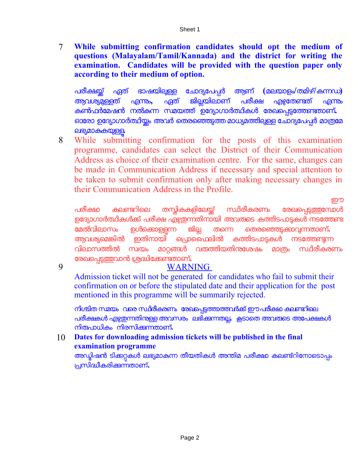7 **While submitting confirmation candidates should opt the medium of questions (Malayalam/Tamil/Kannada) and the district for writing the examination. Candidates will be provided with the question paper only according to their medium of option.**

പരീകയ് ഏത് ഭാഷയിലള േചാദയേപപര ആണ് **(**മലയാളം**/**തമിഴ്**/**കനഡ**)**  <u>അവശ്യമള</u>്ളത് എന്നും, ഏത് ജില്ലയിലാണ് പരീക്ഷ എഴ്ചതേണ്ടത് എന്നും കൺഫർമേഷൻ നൽകന്ന സ്മയത്ത് ഉദ്യോഗാർത്ഥികൾ രേഖപെട്ടത്തേണ്ടതാണ്**.** ഒാരോ ഉദ്യോഗാർത്ഥിയ്യം അവർ തെരഞ്ഞെടുത്ത മാധ്യമത്തിലുള്ള ചോദ്യപേപ്പർ മാത്രമേ ലഭയമാകകയള**.**

8 While submitting confirmation for the posts of this examination programme, candidates can select the District of their Communication Address as choice of their examination centre. For the same, changes can be made in Communication Address if necessary and special attention to be taken to submit confirmation only after making necessary changes in their Communication Address in the Profile.

്രാമ്പ് പ്രത്യേകന്മാരുടെ പ്രത്യേകന്മാരുടെ പ്രത്യേകന്മാരുടെ പ്രത്യേകന്മാരുടെ പ്രത്യേകന്മാരുടെ പ്രത്യേകന്മാരുടെ<br>അവലംബം പരീക്ഷ കലണ്ടറിലെ തസ്തികകളിലേയ്ക് സ്ഥിരീകരണം രേഖപെട്ടത്തന്നോൾ ഉദ്യോഗാർത്ഥികൾക്ക് പരീക്ഷ എഴുതന്നതിനായി അവരുടെ കത്തിടപാടുകൾ നടത്തേണ്ട<br>മേൽവിലാസം ഉൾക്കൊള്ളന്ന ജില്ല തന്നെ തെരഞ്ഞെടുക്കാവന്നതാണ്**.** േമലവിലാസം ഉളെകാളന ജില തെന െതരെഞടകാവനതാണ് **.**  ആവശ്യമെങ്കിൽ ഇതിനായി പ്രൊഫൈലിൽ കത്തിടപാടുകൾ നടത്തേണ്ടുന്ന<br>വിലാസത്തിൽ സ്വയം മാറങ്ങൾ വത്ത്തിയതിനശേഷം മാത്രം സ്ഥിരീകരണം വിലാസതില സവയം മാറങള വരതിയതിനേശഷം മാതം സിരീകരണം രേഖപ്പെടുത്തവാൻ ശ്രദ്ധിക്കേണ്ടതാണ്**.** 

9

### WARNING

Admission ticket will not be generated for candidates who fail to submit their confirmation on or before the stipulated date and their application for the post mentioned in this programme will be summarily rejected.

നിശ്ചിത സമയം വരെ സ്ഥിരീകരണം രേഖപ്പെട്ടത്താത്തവർക്ക് ഈപരീക്ഷ കലണ്ടറിലെ പരീക്ഷകൾ എഴ്ചതന്നതിനള്ള അവസരം ലഭിക്കന്നതല്ല. കൂടാതെ അവരാടെ അപേക്ഷകൾ നിരപാധികം നിരസികനതാണ് **.**

#### 10 **Dates for downloading admission tickets will be published in the final examination programme**

അഡ്യിഷൻ ടിക്കറ്റകൾ ലഭ്യമാകന്ന തീയതികൾ അന്തിമ പരീക്ഷാ കലണ്ട്റിനോടൊപ്പം പസിദീകരികനതാണ്**.**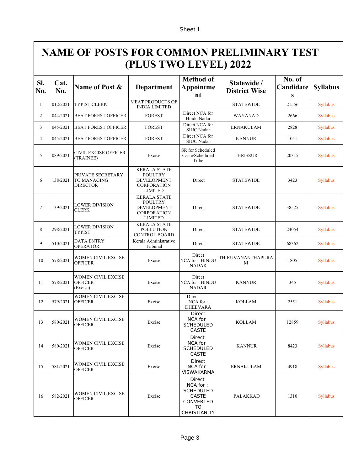## **NAME OF POSTS FOR COMMON PRELIMINARY TEST (PLUS TWO LEVEL) 2022**

| SI.<br>No.     | Cat.<br>No. | Name of Post &                                             | Department                                                                                          | <b>Method of</b><br><b>Appointme</b><br>nt                                                       | Statewide /<br><b>District Wise</b> | No. of<br>Candidate<br>${\bf S}$ | <b>Syllabus</b> |
|----------------|-------------|------------------------------------------------------------|-----------------------------------------------------------------------------------------------------|--------------------------------------------------------------------------------------------------|-------------------------------------|----------------------------------|-----------------|
| 1              | 012/2021    | <b>TYPIST CLERK</b>                                        | <b>MEAT PRODUCTS OF</b><br><b>INDIA LIMITED</b>                                                     |                                                                                                  | <b>STATEWIDE</b>                    | 21556                            | <b>Syllabus</b> |
| $\overline{c}$ | 044/2021    | <b>BEAT FOREST OFFICER</b>                                 | <b>FOREST</b>                                                                                       | Direct NCA for<br>Hindu Nadar                                                                    | WAYANAD                             | 2666                             | <b>Syllabus</b> |
| 3              | 045/2021    | <b>BEAT FOREST OFFICER</b>                                 | <b>FOREST</b>                                                                                       | Direct NCA for<br><b>SIUC</b> Nadar                                                              | <b>ERNAKULAM</b>                    | 2828                             | <b>Syllabus</b> |
| 4              | 045/2021    | <b>BEAT FOREST OFFICER</b>                                 | <b>FOREST</b>                                                                                       | Direct NCA for<br><b>SIUC</b> Nadar                                                              | <b>KANNUR</b>                       | 1051                             | <b>Syllabus</b> |
| 5              | 089/2021    | <b>CIVIL EXCISE OFFICER</b><br>(TRAINEE)                   | Excise                                                                                              | SR for Scheduled<br>Caste/Scheduled<br>Tribe                                                     | <b>THRISSUR</b>                     | 20315                            | <b>Syllabus</b> |
| 6              | 138/2021    | PRIVATE SECRETARY<br><b>TO MANAGING</b><br><b>DIRECTOR</b> | <b>KERALA STATE</b><br><b>POULTRY</b><br><b>DEVELOPMENT</b><br><b>CORPORATION</b><br><b>LIMITED</b> | Direct                                                                                           | <b>STATEWIDE</b>                    | 3423                             | <b>Syllabus</b> |
| $\tau$         | 139/2021    | <b>LOWER DIVISION</b><br><b>CLERK</b>                      | <b>KERALA STATE</b><br><b>POULTRY</b><br><b>DEVELOPMENT</b><br><b>CORPORATION</b><br><b>LIMITED</b> | Direct                                                                                           | <b>STATEWIDE</b>                    | 38525                            | <b>Syllabus</b> |
| 8              | 298/2021    | <b>LOWER DIVISION</b><br>TYPIST                            | <b>KERALA STATE</b><br><b>POLLUTION</b><br><b>CONTROL BOARD</b>                                     | Direct                                                                                           | <b>STATEWIDE</b>                    | 24054                            | <b>Syllabus</b> |
| 9              | 510/2021    | <b>DATA ENTRY</b><br><b>OPERATOR</b>                       | Kerala Administrative<br>Tribunal                                                                   | Direct                                                                                           | <b>STATEWIDE</b>                    | 68362                            | <b>Syllabus</b> |
| 10             | 578/2021    | WOMEN CIVIL EXCISE<br><b>OFFICER</b>                       | Excise                                                                                              | Direct<br><b>NCA for: HINDU</b><br><b>NADAR</b>                                                  | THIRUVANANTHAPURA<br>M              | 1805                             | <b>Syllabus</b> |
| 11             | 578/2021    | WOMEN CIVIL EXCISE<br><b>OFFICER</b><br>(Excise)           | Excise                                                                                              | Direct<br><b>NCA for: HINDU</b><br><b>NADAR</b>                                                  | <b>KANNUR</b>                       | 345                              | <b>Syllabus</b> |
| 12             | 579/2021    | WOMEN CIVIL EXCISE<br><b>OFFICER</b>                       | Excise                                                                                              | Direct<br>NCA for:<br><b>DHEEVARA</b>                                                            | <b>KOLLAM</b>                       | 2551                             | <b>Syllabus</b> |
| 13             | 580/2021    | <b>WOMEN CIVIL EXCISE</b><br><b>OFFICER</b>                | Excise                                                                                              | Direct<br>NCA for:<br><b>SCHEDULED</b><br><b>CASTE</b>                                           | <b>KOLLAM</b>                       | 12859                            | Syllabus        |
| 14             | 580/2021    | WOMEN CIVIL EXCISE<br><b>OFFICER</b>                       | Excise                                                                                              | Direct<br>NCA for:<br><b>SCHEDULED</b><br><b>CASTE</b>                                           | <b>KANNUR</b>                       | 8423                             | Syllabus        |
| 15             | 581/2021    | WOMEN CIVIL EXCISE<br><b>OFFICER</b>                       | Excise                                                                                              | <b>Direct</b><br>NCA for:<br>VISWAKARMA                                                          | <b>ERNAKULAM</b>                    | 4918                             | Syllabus        |
| 16             | 582/2021    | <b>WOMEN CIVIL EXCISE</b><br><b>OFFICER</b>                | Excise                                                                                              | Direct<br>NCA for:<br><b>SCHEDULED</b><br><b>CASTE</b><br><b>CONVERTED</b><br>TO<br>CHRISTIANITY | PALAKKAD                            | 1310                             | <b>Syllabus</b> |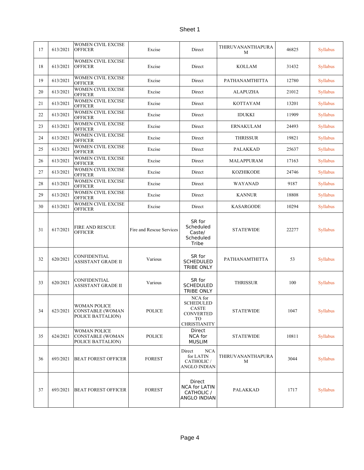| 17 | 613/2021 | WOMEN CIVIL EXCISE<br><b>OFFICER</b>                         | Excise                   | Direct                                                                         | THIRUVANANTHAPURA<br>M | 46825 | <b>Syllabus</b> |
|----|----------|--------------------------------------------------------------|--------------------------|--------------------------------------------------------------------------------|------------------------|-------|-----------------|
| 18 | 613/2021 | <b>WOMEN CIVIL EXCISE</b><br><b>OFFICER</b>                  | Excise                   | Direct                                                                         | <b>KOLLAM</b>          | 31432 | Syllabus        |
| 19 | 613/2021 | <b>WOMEN CIVIL EXCISE</b><br><b>OFFICER</b>                  | Excise                   | Direct                                                                         | PATHANAMTHITTA         | 12780 | <b>Syllabus</b> |
| 20 | 613/2021 | WOMEN CIVIL EXCISE<br><b>OFFICER</b>                         | Excise                   | Direct                                                                         | <b>ALAPUZHA</b>        | 21012 | <b>Syllabus</b> |
| 21 | 613/2021 | WOMEN CIVIL EXCISE<br><b>OFFICER</b>                         | Excise                   | Direct                                                                         | KOTTAYAM               | 13201 | Syllabus        |
| 22 | 613/2021 | WOMEN CIVIL EXCISE<br><b>OFFICER</b>                         | Excise                   | Direct                                                                         | <b>IDUKKI</b>          | 11909 | <b>Syllabus</b> |
| 23 | 613/2021 | WOMEN CIVIL EXCISE<br><b>OFFICER</b>                         | Excise                   | Direct                                                                         | <b>ERNAKULAM</b>       | 24493 | Syllabus        |
| 24 | 613/2021 | <b>WOMEN CIVIL EXCISE</b><br><b>OFFICER</b>                  | Excise                   | Direct                                                                         | THRISSUR               | 19821 | Syllabus        |
| 25 | 613/2021 | <b>WOMEN CIVIL EXCISE</b><br><b>OFFICER</b>                  | Excise                   | Direct                                                                         | PALAKKAD               | 25637 | <b>Syllabus</b> |
| 26 | 613/2021 | <b>WOMEN CIVIL EXCISE</b><br><b>OFFICER</b>                  | Excise                   | Direct                                                                         | <b>MALAPPURAM</b>      | 17163 | <b>Syllabus</b> |
| 27 | 613/2021 | <b>WOMEN CIVIL EXCISE</b><br><b>OFFICER</b>                  | Excise                   | Direct                                                                         | KOZHIKODE              | 24746 | <b>Syllabus</b> |
| 28 | 613/2021 | <b>WOMEN CIVIL EXCISE</b><br><b>OFFICER</b>                  | Excise                   | Direct                                                                         | WAYANAD                | 9187  | <b>Syllabus</b> |
| 29 | 613/2021 | WOMEN CIVIL EXCISE<br><b>OFFICER</b>                         | Excise                   | Direct                                                                         | <b>KANNUR</b>          | 18808 | Syllabus        |
| 30 | 613/2021 | WOMEN CIVIL EXCISE<br><b>OFFICER</b>                         | Excise                   | Direct                                                                         | KASARGODE              | 10294 | <b>Syllabus</b> |
| 31 | 617/2021 | <b>FIRE AND RESCUE</b><br><b>OFFICER</b>                     | Fire and Rescue Services | SR for<br>Scheduled<br>Caste/<br>Scheduled<br>Tribe                            | <b>STATEWIDE</b>       | 22277 | <b>Syllabus</b> |
| 32 | 620/2021 | CONFIDENTIAL<br>ASSISTANT GRADE II                           | Various                  | SR for<br><b>SCHEDULED</b><br><b>TRIBE ONLY</b>                                | PATHANAMTHITTA         | 53    | <b>Syllabus</b> |
| 33 | 620/2021 | <b>CONFIDENTIAL</b><br>ASSISTANT GRADE II                    | Various                  | SR for<br><b>SCHEDULED</b><br><b>TRIBE ONLY</b>                                | <b>THRISSUR</b>        | 100   | <b>Syllabus</b> |
| 34 | 623/2021 | <b>WOMAN POLICE</b><br>CONSTABLE (WOMAN<br>POLICE BATTALION) | <b>POLICE</b>            | NCA for<br><b>SCHEDULED</b><br>CASTE<br><b>CONVERTED</b><br>TO<br>CHRISTIANITY | <b>STATEWIDE</b>       | 1047  | Syllabus        |
| 35 | 624/2021 | WOMAN POLICE<br>CONSTABLE (WOMAN<br>POLICE BATTALION)        | <b>POLICE</b>            | Direct<br>NCA for<br><b>MUSLIM</b>                                             | <b>STATEWIDE</b>       | 10811 | Syllabus        |
| 36 | 693/2021 | <b>BEAT FOREST OFFICER</b>                                   | <b>FOREST</b>            | Direct<br><b>NCA</b><br>for LATIN<br>CATHOLIC /<br><b>ANGLO INDIAN</b>         | THIRUVANANTHAPURA<br>M | 3044  | Syllabus        |
| 37 | 693/2021 | <b>BEAT FOREST OFFICER</b>                                   | <b>FOREST</b>            | <b>Direct</b><br><b>NCA for LATIN</b><br>CATHOLIC /<br><b>ANGLO INDIAN</b>     | PALAKKAD               | 1717  | Syllabus        |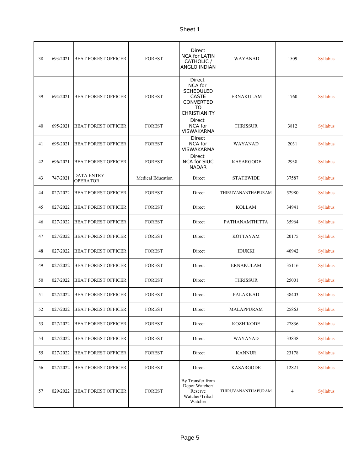| 38 | 693/2021 | <b>BEAT FOREST OFFICER</b>           | <b>FOREST</b>            | <b>Direct</b><br><b>NCA for LATIN</b><br>CATHOLIC /<br>ANGLO INDIAN                                    | <b>WAYANAD</b>     | 1509  | Syllabus        |
|----|----------|--------------------------------------|--------------------------|--------------------------------------------------------------------------------------------------------|--------------------|-------|-----------------|
| 39 | 694/2021 | <b>BEAT FOREST OFFICER</b>           | <b>FOREST</b>            | Direct<br>NCA for<br><b>SCHEDULED</b><br><b>CASTE</b><br><b>CONVERTED</b><br>TO<br><b>CHRISTIANITY</b> | <b>ERNAKULAM</b>   | 1760  | Syllabus        |
| 40 | 695/2021 | <b>BEAT FOREST OFFICER</b>           | <b>FOREST</b>            | Direct<br><b>NCA</b> for<br><b>VISWAKARMA</b>                                                          | <b>THRISSUR</b>    | 3812  | <b>Syllabus</b> |
| 41 | 695/2021 | <b>BEAT FOREST OFFICER</b>           | <b>FOREST</b>            | Direct<br><b>NCA</b> for<br><b>VISWAKARMA</b>                                                          | WAYANAD            | 2031  | Syllabus        |
| 42 | 696/2021 | <b>BEAT FOREST OFFICER</b>           | <b>FOREST</b>            | Direct<br><b>NCA for SIUC</b><br><b>NADAR</b>                                                          | <b>KASARGODE</b>   | 2938  | Syllabus        |
| 43 | 747/2021 | <b>DATA ENTRY</b><br><b>OPERATOR</b> | <b>Medical Education</b> | Direct                                                                                                 | <b>STATEWIDE</b>   | 37587 | Syllabus        |
| 44 | 027/2022 | <b>BEAT FOREST OFFICER</b>           | <b>FOREST</b>            | Direct                                                                                                 | THIRUVANANTHAPURAM | 52980 | Syllabus        |
| 45 | 027/2022 | <b>BEAT FOREST OFFICER</b>           | <b>FOREST</b>            | Direct                                                                                                 | <b>KOLLAM</b>      | 34941 | Syllabus        |
| 46 | 027/2022 | <b>BEAT FOREST OFFICER</b>           | <b>FOREST</b>            | Direct                                                                                                 | PATHANAMTHITTA     | 35964 | Syllabus        |
| 47 | 027/2022 | <b>BEAT FOREST OFFICER</b>           | <b>FOREST</b>            | Direct                                                                                                 | <b>KOTTAYAM</b>    | 20175 | <b>Syllabus</b> |
| 48 | 027/2022 | <b>BEAT FOREST OFFICER</b>           | <b>FOREST</b>            | Direct                                                                                                 | <b>IDUKKI</b>      | 40942 | Syllabus        |
| 49 | 027/2022 | <b>BEAT FOREST OFFICER</b>           | <b>FOREST</b>            | Direct                                                                                                 | <b>ERNAKULAM</b>   | 35116 | <b>Syllabus</b> |
| 50 | 027/2022 | <b>BEAT FOREST OFFICER</b>           | <b>FOREST</b>            | Direct                                                                                                 | <b>THRISSUR</b>    | 25001 | Syllabus        |
| 51 | 027/2022 | <b>BEAT FOREST OFFICER</b>           | <b>FOREST</b>            | Direct                                                                                                 | <b>PALAKKAD</b>    | 38403 | Syllabus        |
| 52 | 027/2022 | <b>BEAT FOREST OFFICER</b>           | <b>FOREST</b>            | Direct                                                                                                 | MALAPPURAM         | 25863 | <b>Syllabus</b> |
| 53 | 027/2022 | <b>BEAT FOREST OFFICER</b>           | <b>FOREST</b>            | Direct                                                                                                 | <b>KOZHIKODE</b>   | 27836 | Syllabus        |
| 54 | 027/2022 | <b>BEAT FOREST OFFICER</b>           | <b>FOREST</b>            | Direct                                                                                                 | WAYANAD            | 33838 | Syllabus        |
| 55 | 027/2022 | <b>BEAT FOREST OFFICER</b>           | <b>FOREST</b>            | Direct                                                                                                 | <b>KANNUR</b>      | 23178 | Syllabus        |
| 56 | 027/2022 | <b>BEAT FOREST OFFICER</b>           | <b>FOREST</b>            | Direct                                                                                                 | <b>KASARGODE</b>   | 12821 | Syllabus        |
| 57 | 029/2022 | <b>BEAT FOREST OFFICER</b>           | <b>FOREST</b>            | By Transfer from<br>Depot Watcher/<br>Reserve<br>Watcher/Tribal<br>Watcher                             | THIRUVANANTHAPURAM | 4     | Syllabus        |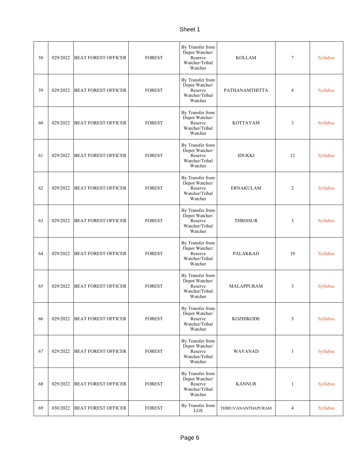| 58 | 029/2022 | <b>BEAT FOREST OFFICER</b> | <b>FOREST</b> | By Transfer from<br>Depot Watcher/<br>Reserve<br>Watcher/Tribal<br>Watcher | <b>KOLLAM</b>      | 7              | Syllabus        |
|----|----------|----------------------------|---------------|----------------------------------------------------------------------------|--------------------|----------------|-----------------|
| 59 | 029/2022 | <b>BEAT FOREST OFFICER</b> | <b>FOREST</b> | By Transfer from<br>Depot Watcher/<br>Reserve<br>Watcher/Tribal<br>Watcher | PATHANAMTHITTA     | 4              | Syllabus        |
| 60 | 029/2022 | <b>BEAT FOREST OFFICER</b> | <b>FOREST</b> | By Transfer from<br>Depot Watcher/<br>Reserve<br>Watcher/Tribal<br>Watcher | <b>KOTTAYAM</b>    | 3              | Syllabus        |
| 61 | 029/2022 | <b>BEAT FOREST OFFICER</b> | <b>FOREST</b> | By Transfer from<br>Depot Watcher/<br>Reserve<br>Watcher/Tribal<br>Watcher | <b>IDUKKI</b>      | 12             | Syllabus        |
| 62 | 029/2022 | <b>BEAT FOREST OFFICER</b> | <b>FOREST</b> | By Transfer from<br>Depot Watcher/<br>Reserve<br>Watcher/Tribal<br>Watcher | <b>ERNAKULAM</b>   | $\overline{c}$ | Syllabus        |
| 63 | 029/2022 | <b>BEAT FOREST OFFICER</b> | <b>FOREST</b> | By Transfer from<br>Depot Watcher/<br>Reserve<br>Watcher/Tribal<br>Watcher | <b>THRISSUR</b>    | 3              | Syllabus        |
| 64 | 029/2022 | <b>BEAT FOREST OFFICER</b> | <b>FOREST</b> | By Transfer from<br>Depot Watcher/<br>Reserve<br>Watcher/Tribal<br>Watcher | <b>PALAKKAD</b>    | 19             | Syllabus        |
| 65 | 029/2022 | <b>BEAT FOREST OFFICER</b> | <b>FOREST</b> | By Transfer from<br>Depot Watcher/<br>Reserve<br>Watcher/Tribal<br>Watcher | MALAPPURAM         | 3              | Syllabus        |
| 66 | 029/2022 | <b>BEAT FOREST OFFICER</b> | <b>FOREST</b> | By Transfer from<br>Depot Watcher/<br>Reserve<br>Watcher/Tribal<br>Watcher | <b>KOZHIKODE</b>   | 3              | Syllabus        |
| 67 | 029/2022 | <b>BEAT FOREST OFFICER</b> | <b>FOREST</b> | By Transfer from<br>Depot Watcher/<br>Reserve<br>Watcher/Tribal<br>Watcher | WAYANAD            | 1              | <b>Syllabus</b> |
| 68 | 029/2022 | <b>BEAT FOREST OFFICER</b> | <b>FOREST</b> | By Transfer from<br>Depot Watcher/<br>Reserve<br>Watcher/Tribal<br>Watcher | <b>KANNUR</b>      | 1              | Syllabus        |
| 69 | 030/2022 | <b>BEAT FOREST OFFICER</b> | <b>FOREST</b> | By Transfer from<br>LGS                                                    | THIRUVANANTHAPURAM | 4              | Syllabus        |